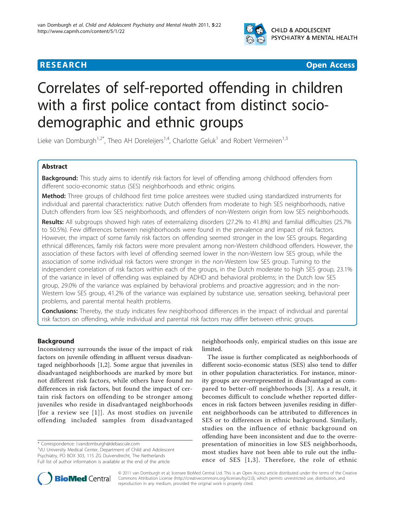



# Correlates of self-reported offending in children with a first police contact from distinct sociodemographic and ethnic groups

Lieke van Domburgh<sup>1,2\*</sup>, Theo AH Doreleijers<sup>1,4</sup>, Charlotte Geluk<sup>1</sup> and Robert Vermeiren<sup>1,3</sup>

# Abstract

Background: This study aims to identify risk factors for level of offending among childhood offenders from different socio-economic status (SES) neighborhoods and ethnic origins.

Method: Three groups of childhood first time police arrestees were studied using standardized instruments for individual and parental characteristics: native Dutch offenders from moderate to high SES neighborhoods, native Dutch offenders from low SES neighborhoods, and offenders of non-Western origin from low SES neighborhoods.

Results: All subgroups showed high rates of externalizing disorders (27.2% to 41.8%) and familial difficulties (25.7% to 50.5%). Few differences between neighborhoods were found in the prevalence and impact of risk factors. However, the impact of some family risk factors on offending seemed stronger in the low SES groups. Regarding ethnical differences, family risk factors were more prevalent among non-Western childhood offenders. However, the association of these factors with level of offending seemed lower in the non-Western low SES group, while the association of some individual risk factors were stronger in the non-Western low SES group. Turning to the independent correlation of risk factors within each of the groups, in the Dutch moderate to high SES group, 23.1% of the variance in level of offending was explained by ADHD and behavioral problems; in the Dutch low SES group, 29.0% of the variance was explained by behavioral problems and proactive aggression; and in the non-Western low SES group, 41.2% of the variance was explained by substance use, sensation seeking, behavioral peer problems, and parental mental health problems.

**Conclusions:** Thereby, the study indicates few neighborhood differences in the impact of individual and parental risk factors on offending, while individual and parental risk factors may differ between ethnic groups.

# Background

Inconsistency surrounds the issue of the impact of risk factors on juvenile offending in affluent versus disadvantaged neighborhoods [\[1,2](#page-10-0)]. Some argue that juveniles in disadvantaged neighborhoods are marked by more but not different risk factors, while others have found no differences in risk factors, but found the impact of certain risk factors on offending to be stronger among juveniles who reside in disadvantaged neighborhoods [for a review see [[1\]](#page-10-0)]. As most studies on juvenile offending included samples from disadvantaged

\* Correspondence: [l.vandomburgh@debascule.com](mailto:l.vandomburgh@debascule.com)

<sup>1</sup>VU University Medical Center, Department of Child and Adolescent Psychiatry, PO BOX 303, 115 ZG Duivendrecht, The Netherlands Full list of author information is available at the end of the article

neighborhoods only, empirical studies on this issue are limited.

The issue is further complicated as neighborhoods of different socio-economic status (SES) also tend to differ in other population characteristics. For instance, minority groups are overrepresented in disadvantaged as compared to better-off neighborhoods [[3](#page-10-0)]. As a result, it becomes difficult to conclude whether reported differences in risk factors between juveniles residing in different neighborhoods can be attributed to differences in SES or to differences in ethnic background. Similarly, studies on the influence of ethnic background on offending have been inconsistent and due to the overrepresentation of minorities in low SES neighborhoods, most studies have not been able to rule out the influence of SES [[1](#page-10-0),[3](#page-10-0)]. Therefore, the role of ethnic



© 2011 van Domburgh et al; licensee BioMed Central Ltd. This is an Open Access article distributed under the terms of the Creative Commons Attribution License [\(http://creativecommons.org/licenses/by/2.0](http://creativecommons.org/licenses/by/2.0)), which permits unrestricted use, distribution, and reproduction in any medium, provided the original work is properly cited.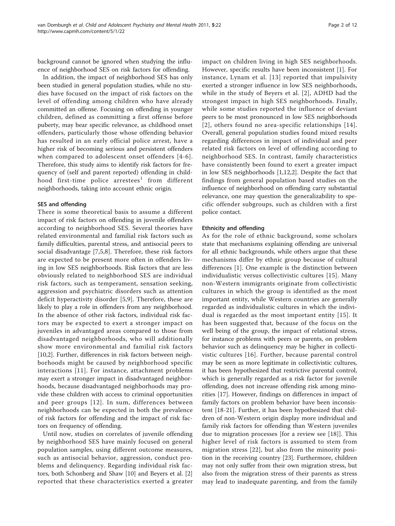background cannot be ignored when studying the influence of neighborhood SES on risk factors for offending.

In addition, the impact of neighborhood SES has only been studied in general population studies, while no studies have focused on the impact of risk factors on the level of offending among children who have already committed an offense. Focusing on offending in younger children, defined as committing a first offense before puberty, may bear specific relevance, as childhood onset offenders, particularly those whose offending behavior has resulted in an early official police arrest, have a higher risk of becoming serious and persistent offenders when compared to adolescent onset offenders [[4-6\]](#page-10-0). Therefore, this study aims to identify risk factors for frequency of (self and parent reported) offending in childhood first-time police  $\armathbf{r}$  arrestees<sup>1</sup> from different neighborhoods, taking into account ethnic origin.

# SES and offending

There is some theoretical basis to assume a different impact of risk factors on offending in juvenile offenders according to neighborhood SES. Several theories have related environmental and familial risk factors such as family difficulties, parental stress, and antisocial peers to social disadvantage [\[7](#page-10-0),[5,8](#page-10-0)]. Therefore, these risk factors are expected to be present more often in offenders living in low SES neighborhoods. Risk factors that are less obviously related to neighborhood SES are individual risk factors, such as temperament, sensation seeking, aggression and psychiatric disorders such as attention deficit hyperactivity disorder [\[5](#page-10-0),[9\]](#page-10-0). Therefore, these are likely to play a role in offenders from any neighborhood. In the absence of other risk factors, individual risk factors may be expected to exert a stronger impact on juveniles in advantaged areas compared to those from disadvantaged neighborhoods, who will additionally show more environmental and familial risk factors [[10,2\]](#page-10-0). Further, differences in risk factors between neighborhoods might be caused by neighborhood specific interactions [[11](#page-10-0)]. For instance, attachment problems may exert a stronger impact in disadvantaged neighborhoods, because disadvantaged neighborhoods may provide these children with access to criminal opportunities and peer groups [[12\]](#page-10-0). In sum, differences between neighborhoods can be expected in both the prevalence of risk factors for offending and the impact of risk factors on frequency of offending.

Until now, studies on correlates of juvenile offending by neighborhood SES have mainly focused on general population samples, using different outcome measures, such as antisocial behavior, aggression, conduct problems and delinquency. Regarding individual risk factors, both Schonberg and Shaw [\[10\]](#page-10-0) and Beyers et al. [[2](#page-10-0)] reported that these characteristics exerted a greater impact on children living in high SES neighborhoods. However, specific results have been inconsistent [[1\]](#page-10-0). For instance, Lynam et al. [[13](#page-10-0)] reported that impulsivity exerted a stronger influence in low SES neighborhoods, while in the study of Beyers et al. [\[2\]](#page-10-0), ADHD had the strongest impact in high SES neighborhoods. Finally, while some studies reported the influence of deviant peers to be most pronounced in low SES neighborhoods [[2\]](#page-10-0), others found no area-specific relationships [[14\]](#page-10-0). Overall, general population studies found mixed results regarding differences in impact of individual and peer related risk factors on level of offending according to neighborhood SES. In contrast, family characteristics have consistently been found to exert a greater impact in low SES neighborhoods [[1,12,2\]](#page-10-0). Despite the fact that findings from general population based studies on the influence of neighborhood on offending carry substantial relevance, one may question the generalizability to specific offender subgroups, such as children with a first police contact.

# Ethnicity and offending

As for the role of ethnic background, some scholars state that mechanisms explaining offending are universal for all ethnic backgrounds, while others argue that these mechanisms differ by ethnic group because of cultural differences [[1\]](#page-10-0). One example is the distinction between individualistic versus collectivistic cultures [\[15\]](#page-10-0). Many non-Western immigrants originate from collectivistic cultures in which the group is identified as the most important entity, while Western countries are generally regarded as individualistic cultures in which the individual is regarded as the most important entity [[15](#page-10-0)]. It has been suggested that, because of the focus on the well being of the group, the impact of relational stress, for instance problems with peers or parents, on problem behavior such as delinquency may be higher in collectivistic cultures [[16](#page-10-0)]. Further, because parental control may be seen as more legitimate in collectivistic cultures, it has been hypothesized that restrictive parental control, which is generally regarded as a risk factor for juvenile offending, does not increase offending risk among minorities [\[17](#page-10-0)]. However, findings on differences in impact of family factors on problem behavior have been inconsistent [\[18](#page-10-0)-[21\]](#page-11-0). Further, it has been hypothesized that children of non-Western origin display more individual and family risk factors for offending than Western juveniles due to migration processes [for a review see [[18\]](#page-10-0)]. This higher level of risk factors is assumed to stem from migration stress [[22](#page-11-0)], but also from the minority position in the receiving country [\[23](#page-11-0)]. Furthermore, children may not only suffer from their own migration stress, but also from the migration stress of their parents as stress may lead to inadequate parenting, and from the family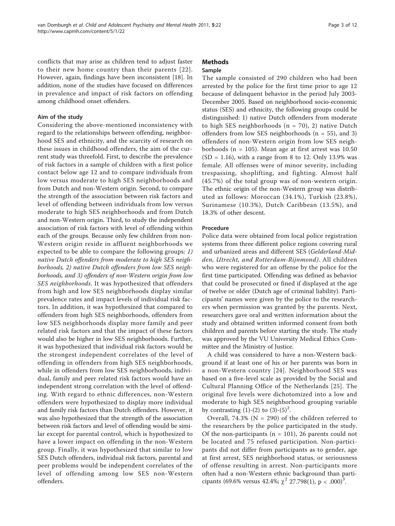conflicts that may arise as children tend to adjust faster to their new home country than their parents [[22\]](#page-11-0). However, again, findings have been inconsistent [\[18](#page-10-0)]. In addition, none of the studies have focused on differences in prevalence and impact of risk factors on offending among childhood onset offenders.

# Aim of the study

Considering the above-mentioned inconsistency with regard to the relationships between offending, neighborhood SES and ethnicity, and the scarcity of research on these issues in childhood offenders, the aim of the current study was threefold. First, to describe the prevalence of risk factors in a sample of children with a first police contact below age 12 and to compare individuals from low versus moderate to high SES neighborhoods and from Dutch and non-Western origin. Second, to compare the strength of the association between risk factors and level of offending between individuals from low versus moderate to high SES neighborhoods and from Dutch and non-Western origin. Third, to study the independent association of risk factors with level of offending within each of the groups. Because only few children from non-Western origin reside in affluent neighborhoods we expected to be able to compare the following groups: 1) native Dutch offenders from moderate to high SES neighborhoods, 2) native Dutch offenders from low SES neighborhoods, and 3) offenders of non-Western origin from low SES neighborhoods. It was hypothesized that offenders from high and low SES neighborhoods display similar prevalence rates and impact levels of individual risk factors. In addition, it was hypothesized that compared to offenders from high SES neighborhoods, offenders from low SES neighborhoods display more family and peer related risk factors and that the impact of these factors would also be higher in low SES neighborhoods. Further, it was hypothesized that individual risk factors would be the strongest independent correlates of the level of offending in offenders from high SES neighborhoods, while in offenders from low SES neighborhoods, individual, family and peer related risk factors would have an independent strong correlation with the level of offending. With regard to ethnic differences, non-Western offenders were hypothesized to display more individual and family risk factors than Dutch offenders. However, it was also hypothesized that the strength of the association between risk factors and level of offending would be similar except for parental control, which is hypothesized to have a lower impact on offending in the non-Western group. Finally, it was hypothesized that similar to low SES Dutch offenders, individual risk factors, parental and peer problems would be independent correlates of the level of offending among low SES non-Western offenders.

# Methods

# Sample

The sample consisted of 290 children who had been arrested by the police for the first time prior to age 12 because of delinquent behavior in the period July 2003- December 2005. Based on neighborhood socio-economic status (SES) and ethnicity, the following groups could be distinguished: 1) native Dutch offenders from moderate to high SES neighborhoods  $(n = 70)$ , 2) native Dutch offenders from low SES neighborhoods (n = 55), and 3) offenders of non-Western origin from low SES neighborhoods ( $n = 105$ ). Mean age at first arrest was 10.50  $(SD = 1.16)$ , with a range from 8 to 12. Only 13.9% was female. All offenses were of minor severity, including trespassing, shoplifting, and fighting. Almost half (45.7%) of the total group was of non-western origin. The ethnic origin of the non-Western group was distributed as follows: Moroccan (34.1%), Turkish (23.8%), Surinamese (10.3%), Dutch Caribbean (13.5%), and 18.3% of other descent.

# Procedure

Police data were obtained from local police registration systems from three different police regions covering rural and urbanized areas and different SES (Gelderland-Midden, Utrecht, and Rotterdam-Rijnmond). All children who were registered for an offense by the police for the first time participated. Offending was defined as behavior that could be prosecuted or fined if displayed at the age of twelve or older (Dutch age of criminal liability). Participants' names were given by the police to the researchers when permission was granted by the parents. Next, researchers gave oral and written information about the study and obtained written informed consent from both children and parents before starting the study. The study was approved by the VU University Medical Ethics Committee and the Ministry of Justice.

A child was considered to have a non-Western background if at least one of his or her parents was born in a non-Western country [[24](#page-11-0)]. Neighborhood SES was based on a five-level scale as provided by the Social and Cultural Planning Office of the Netherlands [\[25\]](#page-11-0). The original five levels were dichotomized into a low and moderate to high SES neighborhood grouping variable by contrasting  $(1)-(2)$  to  $(3)-(5)^2$ .

Overall, 74.3% ( $N = 290$ ) of the children referred to the researchers by the police participated in the study. Of the non-participants ( $n = 101$ ), 26 parents could not be located and 75 refused participation. Non-participants did not differ from participants as to gender, age at first arrest, SES neighborhood status, or seriousness of offense resulting in arrest. Non-participants more often had a non-Western ethnic background than participants (69.6% versus 42.4%;  $\chi^2$  27.798(1), p < .000)<sup>3</sup>.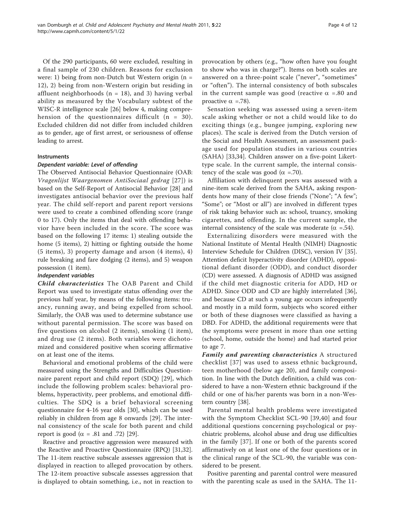Of the 290 participants, 60 were excluded, resulting in a final sample of 230 children. Reasons for exclusion were: 1) being from non-Dutch but Western origin (n = 12), 2) being from non-Western origin but residing in affluent neighborhoods ( $n = 18$ ), and 3) having verbal ability as measured by the Vocabulary subtest of the WISC-R intelligence scale [\[26](#page-11-0)] below 4, making comprehension of the questionnaires difficult  $(n = 30)$ . Excluded children did not differ from included children as to gender, age of first arrest, or seriousness of offense leading to arrest.

#### **Instruments**

# Dependent variable: Level of offending

The Observed Antisocial Behavior Questionnaire (OAB: Vragenlijst Waargenomen AntiSociaal gedrag [[27](#page-11-0)]) is based on the Self-Report of Antisocial Behavior [\[28](#page-11-0)] and investigates antisocial behavior over the previous half year. The child self-report and parent report versions were used to create a combined offending score (range 0 to 17). Only the items that deal with offending behavior have been included in the score. The score was based on the following 17 items: 1) stealing outside the home (5 items), 2) hitting or fighting outside the home (5 items), 3) property damage and arson (4 items), 4) rule breaking and fare dodging (2 items), and 5) weapon possession (1 item).

#### Independent variables

Child characteristics The OAB Parent and Child Report was used to investigate status offending over the previous half year, by means of the following items: truancy, running away, and being expelled from school. Similarly, the OAB was used to determine substance use without parental permission. The score was based on five questions on alcohol (2 items), smoking (1 item), and drug use (2 items). Both variables were dichotomized and considered positive when scoring affirmative on at least one of the items.

Behavioral and emotional problems of the child were measured using the Strengths and Difficulties Questionnaire parent report and child report (SDQ) [[29\]](#page-11-0), which include the following problem scales: behavioral problems, hyperactivity, peer problems, and emotional difficulties. The SDQ is a brief behavioral screening questionnaire for 4-16 year olds [\[30](#page-11-0)], which can be used reliably in children from age 8 onwards [[29\]](#page-11-0). The internal consistency of the scale for both parent and child report is good ( $\alpha$  = .81 and .72) [\[29\]](#page-11-0).

Reactive and proactive aggression were measured with the Reactive and Proactive Questionnaire (RPQ) [\[31,32](#page-11-0)]. The 11-item reactive subscale assesses aggression that is displayed in reaction to alleged provocation by others. The 12-item proactive subscale assesses aggression that is displayed to obtain something, i.e., not in reaction to

provocation by others (e.g., "how often have you fought to show who was in charge?"). Items on both scales are answered on a three-point scale ("never", "sometimes" or "often"). The internal consistency of both subscales in the current sample was good (reactive  $\alpha$  =.80 and proactive  $\alpha$  =.78).

Sensation seeking was assessed using a seven-item scale asking whether or not a child would like to do exciting things (e.g., bungee jumping, exploring new places). The scale is derived from the Dutch version of the Social and Health Assessment, an assessment package used for population studies in various countries (SAHA) [\[33,34](#page-11-0)]. Children answer on a five-point Likerttype scale. In the current sample, the internal consistency of the scale was good ( $\alpha$  =.70).

Affiliation with delinquent peers was assessed with a nine-item scale derived from the SAHA, asking respondents how many of their close friends ("None"; "A few"; "Some"; or "Most or all") are involved in different types of risk taking behavior such as: school, truancy, smoking cigarettes, and offending. In the current sample, the internal consistency of the scale was moderate ( $\alpha = .54$ ).

Externalizing disorders were measured with the National Institute of Mental Health (NIMH) Diagnostic Interview Schedule for Children (DISC), version IV [\[35](#page-11-0)]. Attention deficit hyperactivity disorder (ADHD), oppositional defiant disorder (ODD), and conduct disorder (CD) were assessed. A diagnosis of ADHD was assigned if the child met diagnostic criteria for ADD, HD or ADHD. Since ODD and CD are highly interrelated [\[36](#page-11-0)], and because CD at such a young age occurs infrequently and mostly in a mild form, subjects who scored either or both of these diagnoses were classified as having a DBD. For ADHD, the additional requirements were that the symptoms were present in more than one setting (school, home, outside the home) and had started prior to age 7.

Family and parenting characteristics A structured checklist [\[37\]](#page-11-0) was used to assess ethnic background, teen motherhood (below age 20), and family composition. In line with the Dutch definition, a child was considered to have a non-Western ethnic background if the child or one of his/her parents was born in a non-Western country [\[38](#page-11-0)].

Parental mental health problems were investigated with the Symptom Checklist SCL-90 [[39,40\]](#page-11-0) and four additional questions concerning psychological or psychiatric problems, alcohol abuse and drug use difficulties in the family [[37\]](#page-11-0). If one or both of the parents scored affirmatively on at least one of the four questions or in the clinical range of the SCL-90, the variable was considered to be present.

Positive parenting and parental control were measured with the parenting scale as used in the SAHA. The 11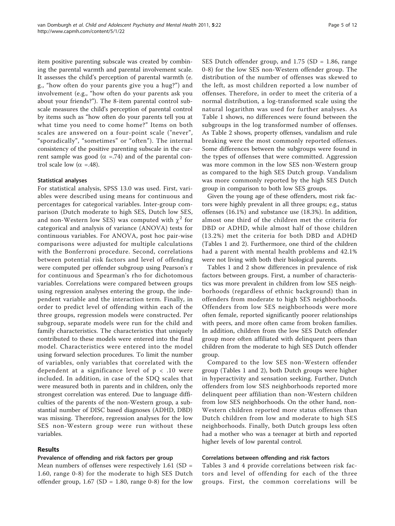item positive parenting subscale was created by combining the parental warmth and parental involvement scale. It assesses the child's perception of parental warmth (e. g., "how often do your parents give you a hug?") and involvement (e.g., "how often do your parents ask you about your friends?"). The 8-item parental control subscale measures the child's perception of parental control by items such as "how often do your parents tell you at what time you need to come home?" Items on both scales are answered on a four-point scale ("never", "sporadically", "sometimes" or "often"). The internal consistency of the positive parenting subscale in the current sample was good ( $\alpha$  =.74) and of the parental control scale low ( $\alpha$  =.48).

### Statistical analyses

For statistical analysis, SPSS 13.0 was used. First, variables were described using means for continuous and percentages for categorical variables. Inter-group comparison (Dutch moderate to high SES, Dutch low SES, and non-Western low SES) was computed with  $\chi^2$  for categorical and analysis of variance (ANOVA) tests for continuous variables. For ANOVA, post hoc pair-wise comparisons were adjusted for multiple calculations with the Bonferroni procedure. Second, correlations between potential risk factors and level of offending were computed per offender subgroup using Pearson's r for continuous and Spearman's rho for dichotomous variables. Correlations were compared between groups using regression analyses entering the group, the independent variable and the interaction term. Finally, in order to predict level of offending within each of the three groups, regression models were constructed. Per subgroup, separate models were run for the child and family characteristics. The characteristics that uniquely contributed to these models were entered into the final model. Characteristics were entered into the model using forward selection procedures. To limit the number of variables, only variables that correlated with the dependent at a significance level of  $p < .10$  were included. In addition, in case of the SDQ scales that were measured both in parents and in children, only the strongest correlation was entered. Due to language difficulties of the parents of the non-Western group, a substantial number of DISC based diagnoses (ADHD, DBD) was missing. Therefore, regression analyses for the low SES non-Western group were run without these variables.

# Results

## Prevalence of offending and risk factors per group

Mean numbers of offenses were respectively  $1.61$  (SD = 1.60, range 0-8) for the moderate to high SES Dutch offender group,  $1.67$  (SD = 1.80, range 0-8) for the low SES Dutch offender group, and 1.75 (SD = 1.86, range 0-8) for the low SES non-Western offender group. The distribution of the number of offenses was skewed to the left, as most children reported a low number of offenses. Therefore, in order to meet the criteria of a normal distribution, a log-transformed scale using the natural logarithm was used for further analyses. As Table [1](#page-5-0) shows, no differences were found between the subgroups in the log transformed number of offenses. As Table [2](#page-6-0) shows, property offenses, vandalism and rule breaking were the most commonly reported offenses. Some differences between the subgroups were found in the types of offenses that were committed. Aggression was more common in the low SES non-Western group as compared to the high SES Dutch group. Vandalism was more commonly reported by the high SES Dutch group in comparison to both low SES groups.

Given the young age of these offenders, most risk factors were highly prevalent in all three groups; e.g., status offenses (16.1%) and substance use (18.3%). In addition, almost one third of the children met the criteria for DBD or ADHD, while almost half of those children (13.2%) met the criteria for both DBD and ADHD (Tables [1](#page-5-0) and [2\)](#page-6-0). Furthermore, one third of the children had a parent with mental health problems and 42.1% were not living with both their biological parents.

Tables [1](#page-5-0) and [2](#page-6-0) show differences in prevalence of risk factors between groups. First, a number of characteristics was more prevalent in children from low SES neighborhoods (regardless of ethnic background) than in offenders from moderate to high SES neighborhoods. Offenders from low SES neighborhoods were more often female, reported significantly poorer relationships with peers, and more often came from broken families. In addition, children from the low SES Dutch offender group more often affiliated with delinquent peers than children from the moderate to high SES Dutch offender group.

Compared to the low SES non-Western offender group (Tables [1](#page-5-0) and [2\)](#page-6-0), both Dutch groups were higher in hyperactivity and sensation seeking. Further, Dutch offenders from low SES neighborhoods reported more delinquent peer affiliation than non-Western children from low SES neighborhoods. On the other hand, non-Western children reported more status offenses than Dutch children from low and moderate to high SES neighborhoods. Finally, both Dutch groups less often had a mother who was a teenager at birth and reported higher levels of low parental control.

# Correlations between offending and risk factors

Tables [3](#page-7-0) and [4](#page-7-0) provide correlations between risk factors and level of offending for each of the three groups. First, the common correlations will be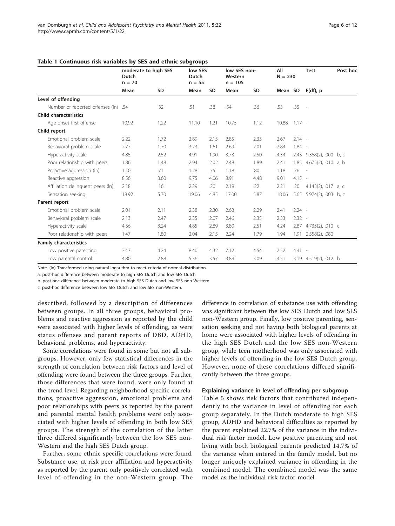<span id="page-5-0"></span>

|  |  | Table 1 Continuous risk variables by SES and ethnic subgroups |  |  |  |  |  |  |  |
|--|--|---------------------------------------------------------------|--|--|--|--|--|--|--|
|--|--|---------------------------------------------------------------|--|--|--|--|--|--|--|

|                                      | moderate to high SES<br>Dutch<br>$n = 70$ |      | low SES<br>Dutch<br>$n = 55$ |      | low SES non-<br>Western<br>$n = 105$ |      | All<br>$N = 230$ |          | <b>Test</b>              | Post hoc |
|--------------------------------------|-------------------------------------------|------|------------------------------|------|--------------------------------------|------|------------------|----------|--------------------------|----------|
|                                      | Mean                                      | SD   | Mean                         | SD.  | Mean                                 | SD   |                  |          | Mean SD F(df), p         |          |
| Level of offending                   |                                           |      |                              |      |                                      |      |                  |          |                          |          |
| Number of reported offenses (In) .54 |                                           | .32  | .51                          | .38  | .54                                  | .36  | .53              | .35      | $\sim$ $-$               |          |
| Child characteristics                |                                           |      |                              |      |                                      |      |                  |          |                          |          |
| Age onset first offense              | 10.92                                     | 1.22 | 11.10                        | 1.21 | 10.75                                | 1.12 | 10.88            | $1.17 -$ |                          |          |
| Child report                         |                                           |      |                              |      |                                      |      |                  |          |                          |          |
| Emotional problem scale              | 2.22                                      | 1.72 | 2.89                         | 2.15 | 2.85                                 | 2.33 | 2.67             | $2.14 -$ |                          |          |
| Behavioral problem scale             | 2.77                                      | 1.70 | 3.23                         | 1.61 | 2.69                                 | 2.01 | 2.84             | $1.84 -$ |                          |          |
| Hyperactivity scale                  | 4.85                                      | 2.52 | 4.91                         | 1.90 | 3.73                                 | 2.50 | 4.34             |          | 2.43 9.368(2), .000 b, c |          |
| Poor relationship with peers         | 1.86                                      | 1.48 | 2.94                         | 2.02 | 2.48                                 | 1.89 | 2.41             |          | 1.85 4.675(2), .010 a, b |          |
| Proactive aggression (ln)            | 1.10                                      | .71  | 1.28                         | .75  | 1.18                                 | .80  | 1.18             | $.76 -$  |                          |          |
| Reactive aggression                  | 8.56                                      | 3.60 | 9.75                         | 4.06 | 8.91                                 | 4.48 | 9.01             | $4.15 -$ |                          |          |
| Affiliation delinquent peers (ln)    | 2.18                                      | .16  | 2.29                         | .20  | 2.19                                 | .22  | 2.21             | .20      | 4.143 $(2)$ , 017 a, c   |          |
| Sensation seeking                    | 18.92                                     | 5.70 | 19.06                        | 4.85 | 17.00                                | 5.87 | 18.06            |          | 5.65 5.974(2), .003 b, c |          |
| Parent report                        |                                           |      |                              |      |                                      |      |                  |          |                          |          |
| Emotional problem scale              | 2.01                                      | 2.11 | 2.38                         | 2.30 | 2.68                                 | 2.29 | 2.41             | $2.24 -$ |                          |          |
| Behavioral problem scale             | 2.13                                      | 2.47 | 2.35                         | 2.07 | 2.46                                 | 2.35 | 2.33             | $2.32 -$ |                          |          |
| Hyperactivity scale                  | 4.36                                      | 3.24 | 4.85                         | 2.89 | 3.80                                 | 2.51 | 4.24             |          | 2.87 4.733(2), .010 c    |          |
| Poor relationship with peers         | 1.47                                      | 1.80 | 2.04                         | 2.15 | 2.24                                 | 1.79 | 1.94             |          | 1.91 2.558(2), .080      |          |
| <b>Family characteristics</b>        |                                           |      |                              |      |                                      |      |                  |          |                          |          |
| Low positive parenting               | 7.43                                      | 4.24 | 8.40                         | 4.32 | 7.12                                 | 4.54 | 7.52             | $4.41 -$ |                          |          |
| Low parental control                 | 4.80                                      | 2.88 | 5.36                         | 3.57 | 3.89                                 | 3.09 | 4.51             |          | 3.19 4.519(2), 012 b     |          |

Note. (ln) Transformed using natural logarithm to meet criteria of normal distribution

a. post-hoc difference between moderate to high SES Dutch and low SES Dutch

b. post-hoc difference between moderate to high SES Dutch and low SES non-Western

c. post-hoc difference between low SES Dutch and low SES non-Western.

described, followed by a description of differences between groups. In all three groups, behavioral problems and reactive aggression as reported by the child were associated with higher levels of offending, as were status offenses and parent reports of DBD, ADHD, behavioral problems, and hyperactivity.

Some correlations were found in some but not all subgroups. However, only few statistical differences in the strength of correlation between risk factors and level of offending were found between the three groups. Further, those differences that were found, were only found at the trend level. Regarding neighborhood specific correlations, proactive aggression, emotional problems and poor relationships with peers as reported by the parent and parental mental health problems were only associated with higher levels of offending in both low SES groups. The strength of the correlation of the latter three differed significantly between the low SES non-Western and the high SES Dutch group.

Further, some ethnic specific correlations were found. Substance use, at risk peer affiliation and hyperactivity as reported by the parent only positively correlated with level of offending in the non-Western group. The

difference in correlation of substance use with offending was significant between the low SES Dutch and low SES non-Western group. Finally, low positive parenting, sensation seeking and not having both biological parents at home were associated with higher levels of offending in the high SES Dutch and the low SES non-Western group, while teen motherhood was only associated with higher levels of offending in the low SES Dutch group. However, none of these correlations differed significantly between the three groups.

#### Explaining variance in level of offending per subgroup

Table [5](#page-8-0) shows risk factors that contributed independently to the variance in level of offending for each group separately. In the Dutch moderate to high SES group, ADHD and behavioral difficulties as reported by the parent explained 22.7% of the variance in the individual risk factor model. Low positive parenting and not living with both biological parents predicted 14.7% of the variance when entered in the family model, but no longer uniquely explained variance in offending in the combined model. The combined model was the same model as the individual risk factor model.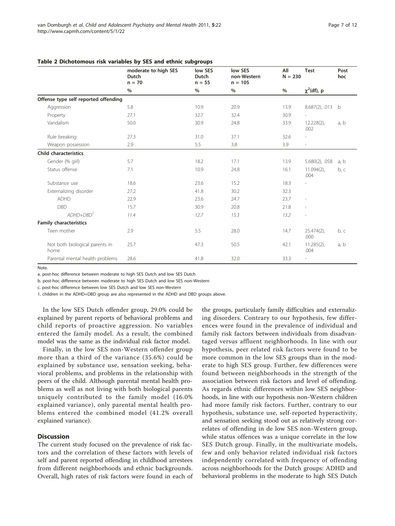|                                        | moderate to high SES<br>Dutch<br>$n = 70$ | low SES<br>Dutch<br>$n = 55$ | low SES<br>non-Western<br>$n = 105$ | All<br>$N = 230$ | <b>Test</b>              | Post<br>hoc |
|----------------------------------------|-------------------------------------------|------------------------------|-------------------------------------|------------------|--------------------------|-------------|
|                                        | $\%$                                      | $\%$                         | $\%$                                | $\%$             | $\chi^2$ (df), p         |             |
| Offense type self reported offending   |                                           |                              |                                     |                  |                          |             |
| Aggression                             | 5.8                                       | 10.9                         | 20.9                                | 13.9             | $8.687(2)$ , 013         | $\mathbf b$ |
| Property                               | 27.1                                      | 32.7                         | 32.4                                | 30.9             |                          |             |
| Vandalism                              | 50.0                                      | 30.9                         | 24.8                                | 33.9             | $12.228(2)$ ,<br>.002    | a, b        |
| Rule breaking                          | 27.3                                      | 31.0                         | 37.1                                | 32.6             | $\overline{\phantom{0}}$ |             |
| Weapon possession                      | 2.9                                       | 5.5                          | 3.8                                 | 3.9              | $\overline{\phantom{a}}$ |             |
| <b>Child characteristics</b>           |                                           |                              |                                     |                  |                          |             |
| Gender (% girl)                        | 5.7                                       | 18.2                         | 17.1                                | 13.9             | $5.680(2)$ , .058        | a, b        |
| Status offense                         | 7.1                                       | 10.9                         | 24.8                                | 16.1             | $11.094(2)$ ,<br>.004    | b, c        |
| Substance use                          | 18.6                                      | 23.6                         | 15.2                                | 18.3             |                          |             |
| Externalizing disorder                 | 27.2                                      | 41.8                         | 30.2                                | 32.3             |                          |             |
| <b>ADHD</b>                            | 22.9                                      | 23.6                         | 24.7                                | 23.7             | $\overline{a}$           |             |
| <b>DBD</b>                             | 15.7                                      | 30.9                         | 20.8                                | 21.8             | $\overline{\phantom{a}}$ |             |
| $ADHD+DBD1$                            | 11.4                                      | 12.7                         | 15.3                                | 13.2             | $\overline{a}$           |             |
| <b>Family characteristics</b>          |                                           |                              |                                     |                  |                          |             |
| Teen mother                            | 2.9                                       | 5.5                          | 28.0                                | 14.7             | $25.474(2)$ ,<br>.000    | b, c        |
| Not both biological parents in<br>home | 25.7                                      | 47.3                         | 50.5                                | 42.1             | $11.285(2)$ ,<br>.004    | a, b        |
| Parental mental health problems        | 28.6                                      | 41.8                         | 32.0                                | 33.3             | $\overline{a}$           |             |

#### <span id="page-6-0"></span>Table 2 Dichotomous risk variables by SES and ethnic subgroups

Note.

a. post-hoc difference between moderate to high SES Dutch and low SES Dutch

b. post-hoc difference between moderate to high SES Dutch and low SES non-Western

c. post-hoc difference between low SES Dutch and low SES non-Western

1. children in the ADHD+DBD group are also represented in the ADHD and DBD groups above.

In the low SES Dutch offender group, 29.0% could be explained by parent reports of behavioral problems and child reports of proactive aggression. No variables entered the family model. As a result, the combined model was the same as the individual risk factor model.

Finally, in the low SES non-Western offender group more than a third of the variance (35.6%) could be explained by substance use, sensation seeking, behavioral problems, and problems in the relationship with peers of the child. Although parental mental health problems as well as not living with both biological parents uniquely contributed to the family model (16.0% explained variance), only parental mental health problems entered the combined model (41.2% overall explained variance).

# **Discussion**

The current study focused on the prevalence of risk factors and the correlation of these factors with levels of self and parent reported offending in childhood arrestees from different neighborhoods and ethnic backgrounds. Overall, high rates of risk factors were found in each of

the groups, particularly family difficulties and externalizing disorders. Contrary to our hypothesis, few differences were found in the prevalence of individual and family risk factors between individuals from disadvantaged versus affluent neighborhoods. In line with our hypothesis, peer related risk factors were found to be more common in the low SES groups than in the moderate to high SES group. Further, few differences were found between neighborhoods in the strength of the association between risk factors and level of offending. As regards ethnic differences within low SES neighborhoods, in line with our hypothesis non-Western children had more family risk factors. Further, contrary to our hypothesis, substance use, self-reported hyperactivity, and sensation seeking stood out as relatively strong correlates of offending in de low SES non-Western group, while status offences was a unique correlate in the low SES Dutch group. Finally, in the multivariate models, few and only behavior related individual risk factors independently correlated with frequency of offending across neighborhoods for the Dutch groups: ADHD and behavioral problems in the moderate to high SES Dutch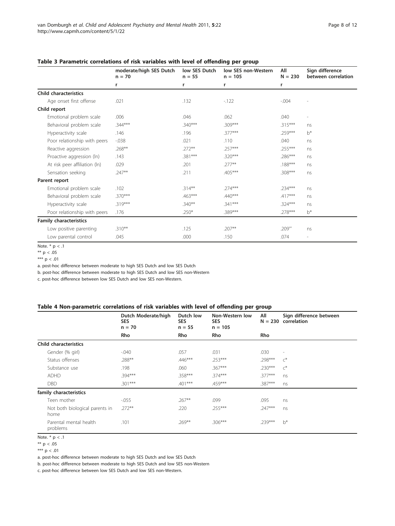|                               | moderate/high SES Dutch<br>$n = 70$ | low SES Dutch<br>$n = 55$ | low SES non-Western<br>$n = 105$ | All<br>$N = 230$ | Sign difference<br>between correlation |
|-------------------------------|-------------------------------------|---------------------------|----------------------------------|------------------|----------------------------------------|
|                               | r                                   | r                         | r                                | r                |                                        |
| <b>Child characteristics</b>  |                                     |                           |                                  |                  |                                        |
| Age onset first offense       | .021                                | .132                      | $-122$                           | $-0.004$         |                                        |
| Child report                  |                                     |                           |                                  |                  |                                        |
| Emotional problem scale       | .006                                | .046                      | .062                             | .040             |                                        |
| Behavioral problem scale      | $.344***$                           | $.340***$                 | $.309***$                        | $.315***$        | ns                                     |
| Hyperactivity scale           | .146                                | .196                      | $.377***$                        | .259***          | $h^*$                                  |
| Poor relationship with peers  | $-0.038$                            | .021                      | .110                             | .040             | ns                                     |
| Reactive aggression           | $.268***$                           | $.272**$                  | $.257***$                        | $.255***$        | ns                                     |
| Proactive aggression (ln)     | .143                                | .381***                   | $.320***$                        | .286***          | ns                                     |
| At risk peer affiliation (In) | .029                                | .201                      | $.277**$                         | .188***          | ns                                     |
| Sensation seeking             | $.247**$                            | .211                      | .405***                          | $.308***$        | ns                                     |
| Parent report                 |                                     |                           |                                  |                  |                                        |
| Emotional problem scale       | .102                                | $.314***$                 | $.274***$                        | $.234***$        | ns                                     |
| Behavioral problem scale      | $.370***$                           | .463***                   | $.440***$                        | .417***          | ns                                     |
| Hyperactivity scale           | .319***                             | $.340**$                  | $.341***$                        | $.324***$        | ns                                     |
| Poor relationship with peers  | .176                                | $.250*$                   | .389***                          | .278***          | $h^*$                                  |
| <b>Family characteristics</b> |                                     |                           |                                  |                  |                                        |
| Low positive parenting        | $.310***$                           | .125                      | $.207**$                         | .209""           | ns                                     |
| Low parental control          | .045                                | .000                      | .150                             | .074             | $\overline{\phantom{a}}$               |

### <span id="page-7-0"></span>Table 3 Parametric correlations of risk variables with level of offending per group

Note.  $* p < .1$ 

 $** p < .05$ 

\*\*\*  $p < .01$ 

a. post-hoc difference between moderate to high SES Dutch and low SES Dutch

b. post-hoc difference between moderate to high SES Dutch and low SES non-Western

c. post-hoc difference between low SES Dutch and low SES non-Western.

# Table 4 Non-parametric correlations of risk variables with level of offending per group

|                                        | Dutch Moderate/high<br><b>SES</b><br>$n = 70$ | Dutch low<br><b>SES</b><br>$n = 55$ | Non-Western low<br><b>SES</b><br>$n = 105$ | All<br>$N = 230$ | Sign difference between<br>correlation |
|----------------------------------------|-----------------------------------------------|-------------------------------------|--------------------------------------------|------------------|----------------------------------------|
|                                        | Rho                                           | <b>Rho</b>                          | <b>Rho</b>                                 | Rho              |                                        |
| <b>Child characteristics</b>           |                                               |                                     |                                            |                  |                                        |
| Gender (% girl)                        | $-.040$                                       | .057                                | .031                                       | .030             | $\overline{\phantom{a}}$               |
| Status offenses                        | $.288***$                                     | $.446***$                           | $.253***$                                  | .298***          | $C^*$                                  |
| Substance use                          | .198                                          | .060                                | $.367***$                                  | $.230***$        | $\mathrm{C}^*$                         |
| ADHD                                   | $.394***$                                     | $.358***$                           | $.374***$                                  | $.377***$        | ns                                     |
| <b>DBD</b>                             | $.301***$                                     | .401***                             | .459***                                    | .387***          | ns                                     |
| family characteristics                 |                                               |                                     |                                            |                  |                                        |
| Teen mother                            | $-0.055$                                      | $.267***$                           | .099                                       | .095             | ns                                     |
| Not both biological parents in<br>home | $.272***$                                     | .220                                | $.255***$                                  | $.247***$        | ns                                     |
| Parental mental health<br>problems     | .101                                          | $.269***$                           | $.306***$                                  | .239***          | $b^*$                                  |

Note.  $* p < .1$ 

\*\*  $p < .05$ 

a. post-hoc difference between moderate to high SES Dutch and low SES Dutch

b. post-hoc difference between moderate to high SES Dutch and low SES non-Western

c. post-hoc difference between low SES Dutch and low SES non-Western.

<sup>\*\*\*</sup>  $p < .01$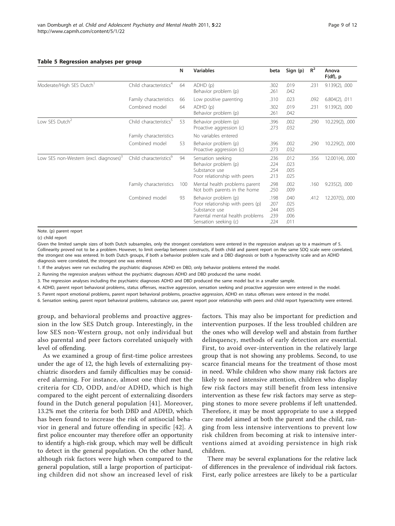#### <span id="page-8-0"></span>Table 5 Regression analyses per group

|                                                    |                                    | N   | <b>Variables</b>                                                                                                                      | beta                                 | Sign (p)                             | $R^2$ | Anova<br>$F(df)$ , p |
|----------------------------------------------------|------------------------------------|-----|---------------------------------------------------------------------------------------------------------------------------------------|--------------------------------------|--------------------------------------|-------|----------------------|
| Moderate/High SES Dutch <sup>1</sup>               | Child characteristics <sup>4</sup> | 64  | ADHD(p)<br>Behavior problem (p)                                                                                                       | .302<br>.261                         | .019<br>.042                         | .231  | $9.139(2)$ , .000    |
|                                                    | Family characteristics             | 66  | Low positive parenting                                                                                                                | .310                                 | .023                                 | .092  | $6.804(2)$ , .011    |
|                                                    | Combined model                     | 64  | ADHD(p)<br>Behavior problem (p)                                                                                                       | .302<br>.261                         | .019<br>.042                         | .231  | $9.139(2)$ , .000    |
| Low SES Dutch <sup>2</sup>                         | Child characteristics <sup>5</sup> | 53  | Behavior problem (p)<br>Proactive aggression (c)                                                                                      | .396<br>.273                         | .002<br>.032                         | .290  | 10.229(2), .000      |
|                                                    | Family characteristics             |     | No variables entered                                                                                                                  |                                      |                                      |       |                      |
|                                                    | Combined model                     | 53  | Behavior problem (p)<br>Proactive aggression (c)                                                                                      | .396<br>.273                         | .002<br>.032                         | .290  | 10.229(2), .000      |
| Low SES non-Western (excl. diagnoses) <sup>3</sup> | Child characteristics <sup>6</sup> | 94  | Sensation seeking<br>Behavior problem (p)<br>Substance use<br>Poor relationship with peers                                            | .236<br>.224<br>.254<br>.213         | .012<br>.023<br>.005<br>.025         | .356  | 12.001(4), .000      |
|                                                    | Family characteristics             | 100 | Mental health problems parent<br>Not both parents in the home                                                                         | .298<br>.250                         | .002<br>.009                         | .160  | $9.235(2)$ , .000    |
|                                                    | Combined model                     | 93  | Behavior problem (p)<br>Poor relationship with peers (p)<br>Substance use<br>Parental mental health problems<br>Sensation seeking (c) | .198<br>.207<br>.244<br>.239<br>.224 | .040<br>.025<br>.005<br>.006<br>.011 | .412  | 12.207(5), .000      |

Note. (p) parent report

(c) child report

Given the limited sample sizes of both Dutch subsamples, only the strongest correlations were entered in the regression analyses up to a maximum of 5. Collinearity proved not to be a problem. However, to limit overlap between constructs, if both child and parent report on the same SDQ scale were correlated, the strongest one was entered. In both Dutch groups, if both a behavior problem scale and a DBD diagnosis or both a hyperactivity scale and an ADHD diagnosis were correlated, the strongest one was entered.

1. If the analyses were run excluding the psychiatric diagnoses ADHD en DBD, only behavior problems entered the model.

2. Running the regression analyses without the psychiatric diagnoses ADHD and DBD produced the same model.

3. The regression analyses including the psychiatric diagnoses ADHD and DBD produced the same model but in a smaller sample.

4. ADHD, parent report behavioral problems, status offenses, reactive aggression, sensation seeking and proactive aggression were entered in the model.

5. Parent report emotional problems, parent report behavioral problems, proactive aggression, ADHD en status offenses were entered in the model.

6. Sensation seeking, parent report behavioral problems, substance use, parent report poor relationship with peers and child report hyperactivity were entered.

group, and behavioral problems and proactive aggression in the low SES Dutch group. Interestingly, in the low SES non-Western group, not only individual but also parental and peer factors correlated uniquely with level of offending.

As we examined a group of first-time police arrestees under the age of 12, the high levels of externalizing psychiatric disorders and family difficulties may be considered alarming. For instance, almost one third met the criteria for CD, ODD, and/or ADHD, which is high compared to the eight percent of externalizing disorders found in the Dutch general population [\[41](#page-11-0)]. Moreover, 13.2% met the criteria for both DBD and ADHD, which has been found to increase the risk of antisocial behavior in general and future offending in specific [\[42\]](#page-11-0). A first police encounter may therefore offer an opportunity to identify a high-risk group, which may well be difficult to detect in the general population. On the other hand, although risk factors were high when compared to the general population, still a large proportion of participating children did not show an increased level of risk

factors. This may also be important for prediction and intervention purposes. If the less troubled children are the ones who will develop well and abstain from further delinquency, methods of early detection are essential. First, to avoid over-intervention in the relatively large group that is not showing any problems. Second, to use scarce financial means for the treatment of those most in need. While children who show many risk factors are likely to need intensive attention, children who display few risk factors may still benefit from less intensive intervention as these few risk factors may serve as stepping stones to more severe problems if left unattended. Therefore, it may be most appropriate to use a stepped care model aimed at both the parent and the child, ranging from less intensive interventions to prevent low risk children from becoming at risk to intensive interventions aimed at avoiding persistence in high risk children.

There may be several explanations for the relative lack of differences in the prevalence of individual risk factors. First, early police arrestees are likely to be a particular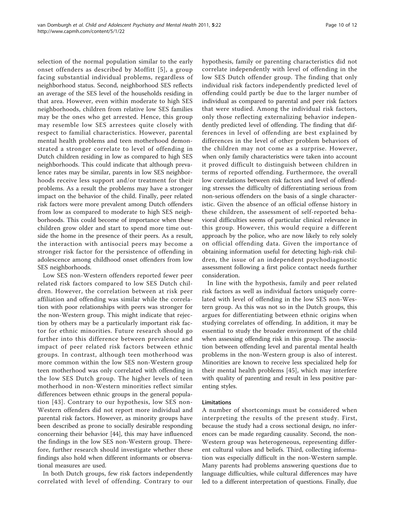selection of the normal population similar to the early onset offenders as described by Moffitt [[5\]](#page-10-0), a group facing substantial individual problems, regardless of neighborhood status. Second, neighborhood SES reflects an average of the SES level of the households residing in that area. However, even within moderate to high SES neighborhoods, children from relative low SES families may be the ones who get arrested. Hence, this group may resemble low SES arrestees quite closely with respect to familial characteristics. However, parental mental health problems and teen motherhood demonstrated a stronger correlate to level of offending in Dutch children residing in low as compared to high SES neighborhoods. This could indicate that although prevalence rates may be similar, parents in low SES neighborhoods receive less support and/or treatment for their problems. As a result the problems may have a stronger impact on the behavior of the child. Finally, peer related risk factors were more prevalent among Dutch offenders from low as compared to moderate to high SES neighborhoods. This could become of importance when these children grow older and start to spend more time outside the home in the presence of their peers. As a result, the interaction with antisocial peers may become a stronger risk factor for the persistence of offending in adolescence among childhood onset offenders from low SES neighborhoods.

Low SES non-Western offenders reported fewer peer related risk factors compared to low SES Dutch children. However, the correlation between at risk peer affiliation and offending was similar while the correlation with poor relationships with peers was stronger for the non-Western group. This might indicate that rejection by others may be a particularly important risk factor for ethnic minorities. Future research should go further into this difference between prevalence and impact of peer related risk factors between ethnic groups. In contrast, although teen motherhood was more common within the low SES non-Western group teen motherhood was only correlated with offending in the low SES Dutch group. The higher levels of teen motherhood in non-Western minorities reflect similar differences between ethnic groups in the general population [[43](#page-11-0)]. Contrary to our hypothesis, low SES non-Western offenders did not report more individual and parental risk factors. However, as minority groups have been described as prone to socially desirable responding concerning their behavior [\[44](#page-11-0)], this may have influenced the findings in the low SES non-Western group. Therefore, further research should investigate whether these findings also hold when different informants or observational measures are used.

In both Dutch groups, few risk factors independently correlated with level of offending. Contrary to our hypothesis, family or parenting characteristics did not correlate independently with level of offending in the low SES Dutch offender group. The finding that only individual risk factors independently predicted level of offending could partly be due to the larger number of individual as compared to parental and peer risk factors that were studied. Among the individual risk factors, only those reflecting externalizing behavior independently predicted level of offending. The finding that differences in level of offending are best explained by differences in the level of other problem behaviors of the children may not come as a surprise. However, when only family characteristics were taken into account it proved difficult to distinguish between children in terms of reported offending. Furthermore, the overall low correlations between risk factors and level of offending stresses the difficulty of differentiating serious from non-serious offenders on the basis of a single characteristic. Given the absence of an official offense history in these children, the assessment of self-reported behavioral difficulties seems of particular clinical relevance in this group. However, this would require a different approach by the police, who are now likely to rely solely on official offending data. Given the importance of obtaining information useful for detecting high-risk children, the issue of an independent psychodiagnostic assessment following a first police contact needs further consideration.

In line with the hypothesis, family and peer related risk factors as well as individual factors uniquely correlated with level of offending in the low SES non-Western group. As this was not so in the Dutch groups, this argues for differentiating between ethnic origins when studying correlates of offending. In addition, it may be essential to study the broader environment of the child when assessing offending risk in this group. The association between offending level and parental mental health problems in the non-Western group is also of interest. Minorities are known to receive less specialized help for their mental health problems [[45\]](#page-11-0), which may interfere with quality of parenting and result in less positive parenting styles.

#### Limitations

A number of shortcomings must be considered when interpreting the results of the present study. First, because the study had a cross sectional design, no inferences can be made regarding causality. Second, the non-Western group was heterogeneous, representing different cultural values and beliefs. Third, collecting information was especially difficult in the non-Western sample. Many parents had problems answering questions due to language difficulties, while cultural differences may have led to a different interpretation of questions. Finally, due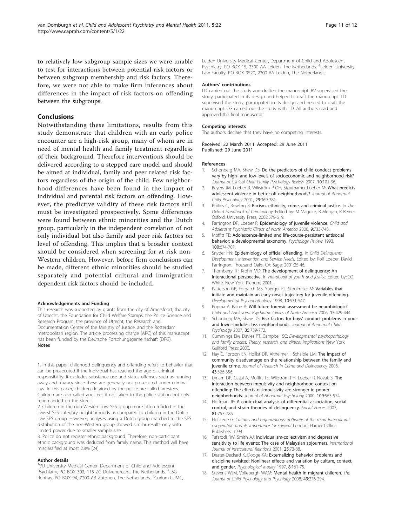<span id="page-10-0"></span>to relatively low subgroup sample sizes we were unable to test for interactions between potential risk factors or between subgroup membership and risk factors. Therefore, we were not able to make firm inferences about differences in the impact of risk factors on offending between the subgroups.

# Conclusions

Notwithstanding these limitations, results from this study demonstrate that children with an early police encounter are a high-risk group, many of whom are in need of mental health and family treatment regardless of their background. Therefore interventions should be delivered according to a stepped care model and should be aimed at individual, family and peer related risk factors regardless of the origin of the child. Few neighborhood differences have been found in the impact of individual and parental risk factors on offending. However, the predictive validity of these risk factors still must be investigated prospectively. Some differences were found between ethnic minorities and the Dutch group, particularly in the independent correlation of not only individual but also family and peer risk factors on level of offending. This implies that a broader context should be considered when screening for at risk non-Western children. However, before firm conclusions can be made, different ethnic minorities should be studied separately and potential cultural and immigration dependent risk factors should be included.

#### Acknowledgements and Funding

This research was supported by grants from the city of Amersfoort, the city of Utrecht, the Foundation for Child Welfare Stamps, the Police Science and Research Program, the province of Utrecht, the Research and Documentation Center of the Ministry of Justice, and the Rotterdam metropolitan region. The article processing charge (APC) of this manuscript has been funded by the Deutsche Forschungsgemeinschaft (DFG). Notes

1. In this paper, childhood delinquency and offending refers to behavior that can be prosecuted if the individual has reached the age of criminal responsibility. It excludes substance use and status offenses such as running away and truancy since these are generally not prosecuted under criminal law. In this paper, children detained by the police are called arrestees. Children are also called arrestees if not taken to the police station but only reprimanded on the street.

2. Children in the non-Western low SES group more often resided in the lowest SES category neighborhoods as compared to children in the Dutch low SES group. However, analyses using a Dutch group matched to the SES distribution of the non-Western group showed similar results only with limited power due to smaller sample size.

3. Police do not register ethnic background. Therefore, non-participant ethnic background was deduced from family name. This method will have misclassified at most 2.8% [[24\]](#page-11-0).

#### Author details

<sup>1</sup>VU University Medical Center, Department of Child and Adolescent Psychiatry, PO BOX 303, 115 ZG Duivendrecht, The Netherlands. <sup>2</sup>LSG-Rentray, PO BOX 94, 7200 AB Zutphen, The Netherlands. <sup>3</sup>Curium-LUMC, Leiden University Medical Center, Department of Child and Adolescent Psychiatry, PO BOX 15, 2300 AA Leiden, The Netherlands. <sup>4</sup>Leiden University, Law Faculty, PO BOX 9520, 2300 RA Leiden, The Netherlands.

#### Authors' contributions

LD carried out the study and drafted the manuscript. RV supervised the study, participated in its design and helped to draft the manuscript. TD supervised the study, participated in its design and helped to draft the manuscript. CG carried out the study with LD. All authors read and approved the final manuscript.

#### Competing interests

The authors declare that they have no competing interests.

Received: 22 March 2011 Accepted: 29 June 2011 Published: 29 June 2011

#### References

- 1. Schonberg MA, Shaw DS: Do the predictors of child conduct problems vary by high- and low-levels of socioeconomic and neighborhood risk? Journal of Clinical Child Family Psychology Review 2007, 10:101-36.
- 2. Beyers JM, Loeber R, Wikström P-OH, Stouthamer-Loeber M: [What predicts](http://www.ncbi.nlm.nih.gov/pubmed/11695540?dopt=Abstract) [adolescent violence in better-off neighborhoods?](http://www.ncbi.nlm.nih.gov/pubmed/11695540?dopt=Abstract) Journal of Abnormal Child Psychology 2001, 29:369-381.
- 3. Philips C, Bowling B: Racism, ethnicity, crime, and criminal justice. In The Oxford Handbook of Criminology. Edited by: M Maguire, R Morgan, R Reiner. Oxford: University Press; 2002:579-619.
- 4. Farrington DP, Loeber R: [Epidemiology of juvenile violence.](http://www.ncbi.nlm.nih.gov/pubmed/11005003?dopt=Abstract) Child and Adolescent Psychiatric Clinics of North America 2000, 9:733-748.
- 5. Moffitt TE: Adolescence-limited and life-course-persistent antisocial behavior: a developmental taxonomy. Psychology Review 1993, 100:674-701.
- 6. Snyder HN: Epidemiology of official offending. In Child Delinquents: Development, Intervention and Service Needs. Edited by: Rolf Loeber, David Farrington. Thousand Oaks, CA: Sage; 2001:25-46.
- 7. Thornberry TP, Krohn MD: The development of delinquency: An interactional perspective. In Handbook of youth and justice. Edited by: SO White. New York: Plenum; 2001:.
- 8. Patterson GR, Forgatch MS, Yoerger KL, Stoolmiller M: Variables that initiate and maintain an early-onset trajectory for juvenile offending. Developmental Psychopathology 1998, 10:531-547.
- 9. Popma A, Raine A: [Will future forensic assessment be neurobiologic?](http://www.ncbi.nlm.nih.gov/pubmed/16527664?dopt=Abstract) Child and Adolescent Psychiatric Clinics of North America 2006, 15:429-444.
- 10. Schonberg MA, Shaw DS: Risk factors for boys' [conduct problems in poor](http://www.ncbi.nlm.nih.gov/pubmed/17549622?dopt=Abstract) [and lower-middle-class neighborhoods.](http://www.ncbi.nlm.nih.gov/pubmed/17549622?dopt=Abstract) Journal of Abnormal Child Psychology 2007, 35:759-772.
- 11. Cummings EM, Davies PT, Campbell SC: Developmental psychopathology and family process: Theory, research, and clinical implications New York: Guilford Press; 2000.
- 12. Hay C, Fortson EN, Hollist DR, Altheimer I, Schaible LM: The impact of community disadvantage on the relationship between the family and juvenile crime. Journal of Research in Crime and Delinquency 2006, 43:326-356.
- 13. Lynam DR, Caspi A, Moffitt TE, Wikström PH, Loeber R, Novak S: [The](http://www.ncbi.nlm.nih.gov/pubmed/11195980?dopt=Abstract) [interaction between impulsivity and neighborhood context on](http://www.ncbi.nlm.nih.gov/pubmed/11195980?dopt=Abstract) [offending: The effects of impulsivity are stronger in poorer](http://www.ncbi.nlm.nih.gov/pubmed/11195980?dopt=Abstract) [neighborhoods.](http://www.ncbi.nlm.nih.gov/pubmed/11195980?dopt=Abstract) Journal of Abnormal Psychology 2000, 109:563-574.
- 14. Hoffman JP: A contextual analysis of differential association, social control, and strain theories of delinquency. Social Forces 2003, 81:753-785.
- 15. Hofstede G: Cultures and organizations: Software of the mind Intercultural cooperation and its importance for survival London: Harper Collins Publishers: 1994
- 16. Tafarodi RW, Smith AJ: Individualism-collectivism and depressive sensitivity to life events: The case of Malaysian sojourners. International Journal of Intercultural Relations 2001, 25:73-88.
- 17. Deater-Deckard K, Dodge KA: Externalizing behavior problems and discipline revisited: Nonlinear effects and variation by culture, context, and gender. Psychological Inquiry 1997, 8:161-75.
- 18. Stevens WJM, Vollebergh WAM: Mental health in migrant children. The Journal of Child Psychology and Psychiatry 2008, 49:276-294.